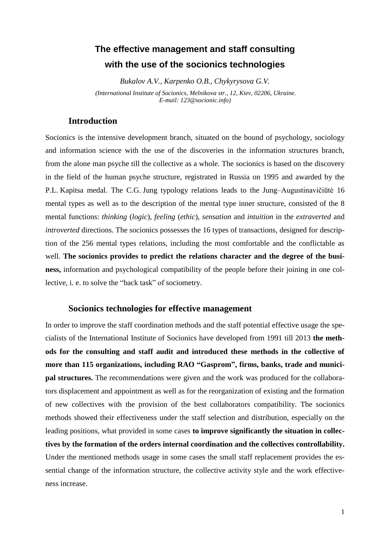# **The effective management and staff consulting with the use of the socionics technologies**

*Bukalov A.V., Karpenko O.B., Chykyrysova G.V. (International Institute of Socionics, Melnikova str., 12, Kiev, 02206, Ukraine. E-mail: 123@socionic.info)*

## **Introduction**

Socionics is the intensive development branch, situated on the bound of psychology, sociology and information science with the use of the discoveries in the information structures branch, from the alone man psyche till the collective as a whole. The socionics is based on the discovery in the field of the human psyche structure, registrated in Russia on 1995 and awarded by the P.L. Kapitsa medal. The C.G. Jung typology relations leads to the Jung–Augustinavičiūtė 16 mental types as well as to the description of the mental type inner structure, consisted of the 8 mental functions: *thinking* (*logic*), *feeling* (*ethic*), *sensation* and *intuition* in the *extraverted* and *introverted* directions. The socionics possesses the 16 types of transactions, designed for description of the 256 mental types relations, including the most comfortable and the conflictable as well. **The socionics provides to predict the relations character and the degree of the business,** information and psychological compatibility of the people before their joining in one collective, i. e. to solve the "back task" of sociometry.

### **Socionics technologies for effective management**

In order to improve the staff coordination methods and the staff potential effective usage the specialists of the International Institute of Socionics have developed from 1991 till 2013 **the methods for the consulting and staff audit and introduced these methods in the collective of more than 115 organizations, including RAO "Gasprom", firms, banks, trade and municipal structures.** The recommendations were given and the work was produced for the collaborators displacement and appointment as well as for the reorganization of existing and the formation of new collectives with the provision of the best collaborators compatibility. The socionics methods showed their effectiveness under the staff selection and distribution, especially on the leading positions, what provided in some cases **to improve significantly the situation in collectives by the formation of the orders internal coordination and the collectives controllability.**  Under the mentioned methods usage in some cases the small staff replacement provides the essential change of the information structure, the collective activity style and the work effectiveness increase.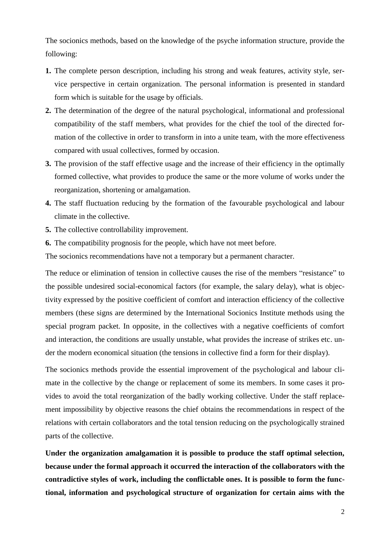The socionics methods, based on the knowledge of the psyche information structure, provide the following:

- **1.** The complete person description, including his strong and weak features, activity style, service perspective in certain organization. The personal information is presented in standard form which is suitable for the usage by officials.
- **2.** The determination of the degree of the natural psychological, informational and professional compatibility of the staff members, what provides for the chief the tool of the directed formation of the collective in order to transform in into a unite team, with the more effectiveness compared with usual collectives, formed by occasion.
- **3.** The provision of the staff effective usage and the increase of their efficiency in the optimally formed collective, what provides to produce the same or the more volume of works under the reorganization, shortening or amalgamation.
- **4.** The staff fluctuation reducing by the formation of the favourable psychological and labour climate in the collective.
- **5.** The collective controllability improvement.
- **6.** The compatibility prognosis for the people, which have not meet before.

The socionics recommendations have not a temporary but a permanent character.

The reduce or elimination of tension in collective causes the rise of the members "resistance" to the possible undesired social-economical factors (for example, the salary delay), what is objectivity expressed by the positive coefficient of comfort and interaction efficiency of the collective members (these signs are determined by the International Socionics Institute methods using the special program packet. In opposite, in the collectives with a negative coefficients of comfort and interaction, the conditions are usually unstable, what provides the increase of strikes etc. under the modern economical situation (the tensions in collective find a form for their display).

The socionics methods provide the essential improvement of the psychological and labour climate in the collective by the change or replacement of some its members. In some cases it provides to avoid the total reorganization of the badly working collective. Under the staff replacement impossibility by objective reasons the chief obtains the recommendations in respect of the relations with certain collaborators and the total tension reducing on the psychologically strained parts of the collective.

**Under the organization amalgamation it is possible to produce the staff optimal selection, because under the formal approach it occurred the interaction of the collaborators with the contradictive styles of work, including the conflictable ones. It is possible to form the functional, information and psychological structure of organization for certain aims with the**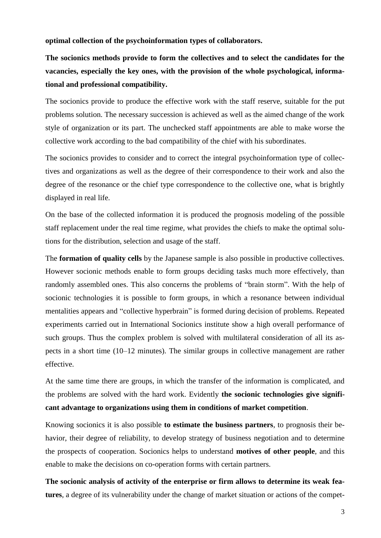**optimal collection of the psychoinformation types of collaborators.**

**The socionics methods provide to form the collectives and to select the candidates for the vacancies, especially the key ones, with the provision of the whole psychological, informational and professional compatibility.**

The socionics provide to produce the effective work with the staff reserve, suitable for the put problems solution. The necessary succession is achieved as well as the aimed change of the work style of organization or its part. The unchecked staff appointments are able to make worse the collective work according to the bad compatibility of the chief with his subordinates.

The socionics provides to consider and to correct the integral psychoinformation type of collectives and organizations as well as the degree of their correspondence to their work and also the degree of the resonance or the chief type correspondence to the collective one, what is brightly displayed in real life.

On the base of the collected information it is produced the prognosis modeling of the possible staff replacement under the real time regime, what provides the chiefs to make the optimal solutions for the distribution, selection and usage of the staff.

The **formation of quality cells** by the Japanese sample is also possible in productive collectives. However socionic methods enable to form groups deciding tasks much more effectively, than randomly assembled ones. This also concerns the problems of "brain storm". With the help of socionic technologies it is possible to form groups, in which a resonance between individual mentalities appears and "collective hyperbrain" is formed during decision of problems. Repeated experiments carried out in International Socionics institute show a high overall performance of such groups. Thus the complex problem is solved with multilateral consideration of all its aspects in a short time (10–12 minutes). The similar groups in collective management are rather effective.

At the same time there are groups, in which the transfer of the information is complicated, and the problems are solved with the hard work. Evidently **the socionic technologies give significant advantage to organizations using them in conditions of market competition**.

Knowing socionics it is also possible **to estimate the business partners**, to prognosis their behavior, their degree of reliability, to develop strategy of business negotiation and to determine the prospects of cooperation. Socionics helps to understand **motives of other people**, and this enable to make the decisions on co-operation forms with certain partners.

**The socionic analysis of activity of the enterprise or firm allows to determine its weak features**, a degree of its vulnerability under the change of market situation or actions of the compet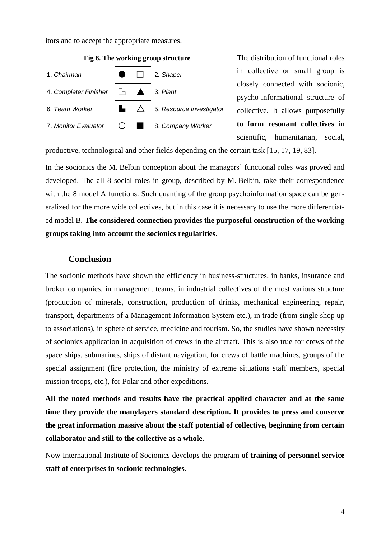itors and to accept the appropriate measures.



The distribution of functional roles in collective or small group is closely connected with socionic, psycho-informational structure of collective. It allows purposefully **to form resonant collectives** in scientific, humanitarian, social,

productive, technological and other fields depending on the certain task [15, 17, 19, 83].

In the socionics the M. Belbin conception about the managers' functional roles was proved and developed. The all 8 social roles in group, described by M. Belbin, take their correspondence with the 8 model A functions. Such quanting of the group psychoinformation space can be generalized for the more wide collectives, but in this case it is necessary to use the more differentiated model B. **The considered connection provides the purposeful construction of the working groups taking into account the socionics regularities.**

# **Conclusion**

The socionic methods have shown the efficiency in business-structures, in banks, insurance and broker companies, in management teams, in industrial collectives of the most various structure (production of minerals, construction, production of drinks, mechanical engineering, repair, transport, departments of a Management Information System etc.), in trade (from single shop up to associations), in sphere of service, medicine and tourism. So, the studies have shown necessity of socionics application in acquisition of crews in the aircraft. This is also true for crews of the space ships, submarines, ships of distant navigation, for crews of battle machines, groups of the special assignment (fire protection, the ministry of extreme situations staff members, special mission troops, etc.), for Polar and other expeditions.

**All the noted methods and results have the practical applied character and at the same time they provide the manylayers standard description. It provides to press and conserve the great information massive about the staff potential of collective, beginning from certain collaborator and still to the collective as a whole.**

Now International Institute of Socionics develops the program **of training of personnel service staff of enterprises in socionic technologies**.